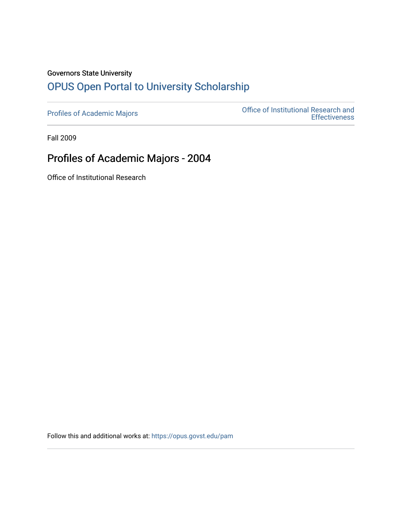## Governors State University [OPUS Open Portal to University Scholarship](https://opus.govst.edu/)

[Profiles of Academic Majors](https://opus.govst.edu/pam) **Office of Institutional Research and Effectiveness** 

Fall 2009

# Profiles of Academic Majors - 2004

Office of Institutional Research

Follow this and additional works at: [https://opus.govst.edu/pam](https://opus.govst.edu/pam?utm_source=opus.govst.edu%2Fpam%2F32&utm_medium=PDF&utm_campaign=PDFCoverPages)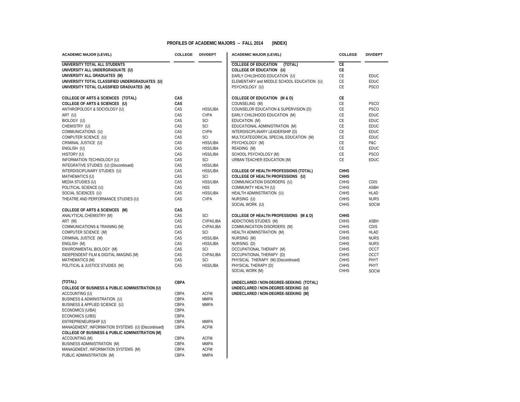#### **PROFILES OF ACADEMIC MAJORS -- FALL 2014 (INDEX)**

| <b>ACADEMIC MAJOR (LEVEL)</b>                                                                                    | <b>COLLEGE</b><br><b>DIV/DEPT</b> |                  | <b>ACADEMIC MAJOR (LEVEL)</b>              | <b>COLLEGE</b>             | <b>DIV/DEPT</b> |  |
|------------------------------------------------------------------------------------------------------------------|-----------------------------------|------------------|--------------------------------------------|----------------------------|-----------------|--|
| UNIVERSITY TOTAL ALL STUDENTS                                                                                    |                                   |                  | <b>COLLEGE OF EDUCATION (TOTAL)</b>        | CE                         |                 |  |
| UNIVERSITY ALL UNDERGRADUATE (U)                                                                                 |                                   |                  | COLLEGE OF EDUCATION (U)                   | CE                         |                 |  |
| UNIVERSITY ALL GRADUATES (M)                                                                                     |                                   |                  | EARLY CHILDHOOD EDUCATION (U)              | $\mathsf{CE}$              | <b>EDUC</b>     |  |
| UNIVERSITY TOTAL CLASSIFIED UNDERGRADUATES (U)                                                                   |                                   |                  | ELEMENTARY and MIDDLE SCHOOL EDUCATION (U) | CE                         | <b>EDUC</b>     |  |
| UNIVERSITY TOTAL CLASSIFIED GRADUATES (M)                                                                        |                                   |                  | PSYCHOLOGY (U)                             | CE                         | <b>PSCO</b>     |  |
| COLLEGE OF ARTS & SCIENCES (TOTAL)                                                                               | CAS                               |                  | COLLEGE OF EDUCATION (M & D)               | <b>CE</b>                  |                 |  |
| COLLEGE OF ARTS & SCIENCES (U)                                                                                   | CAS                               |                  | COUNSELING (M)                             | CE                         | <b>PSCO</b>     |  |
| ANTHROPOLOGY & SOCIOLOGY (U)                                                                                     | CAS                               | <b>HSS/LIBA</b>  | COUNSELOR EDUCATION & SUPERVISION (D)      | CE                         | <b>PSCO</b>     |  |
| ART (U)                                                                                                          | CAS                               | <b>CVPA</b>      | EARLY CHILDHOOD EDUCATION (M)              | CE                         | <b>EDUC</b>     |  |
| BIOLOGY (U)                                                                                                      | CAS                               | SCI              | EDUCATION (M)                              | CE                         | <b>EDUC</b>     |  |
| CHEMISTRY (U)                                                                                                    | CAS                               | SCI              | EDUCATIONAL ADMINISTRATION (M)             | CE                         | <b>EDUC</b>     |  |
| COMMUNICATIONS (U)                                                                                               | CAS                               | CVPA             | INTERDISCIPLINARY LEADERSHIP (D)           | CE                         | <b>EDUC</b>     |  |
| COMPUTER SCIENCE (U)                                                                                             | CAS                               | SCI              | MULTICATEGORICAL SPECIAL EDUCATION (M)     | CE                         | <b>EDUC</b>     |  |
| CRIMINAL JUSTICE (U)                                                                                             | CAS                               | <b>HSS/LIBA</b>  | PSYCHOLOGY (M)                             | CE                         | P&C             |  |
| ENGLISH (U)                                                                                                      | CAS                               | <b>HSS/LIBA</b>  | READING (M)                                | <b>CE</b>                  | <b>EDUC</b>     |  |
| HISTORY (U)                                                                                                      | CAS                               | <b>HSS/LIBA</b>  | SCHOOL PSYCHOLOGY (M)                      | CE                         | <b>PSCO</b>     |  |
| INFORMATION TECHNOLOGY (U)                                                                                       | CAS                               | SCI              | URBAN TEACHER EDUCATION (M)                | CE                         | EDUC            |  |
| INTEGRATIVE STUDIES (U) (Discontinued)                                                                           | CAS                               | <b>HSS/LIBA</b>  |                                            |                            |                 |  |
| INTERDISCIPLINARY STUDIES (U)                                                                                    | CAS                               | <b>HSS/LIBA</b>  | COLLEGE OF HEALTH PROFESSIONS (TOTAL)      | <b>CHHS</b>                |                 |  |
| MATHEMATICS (U)                                                                                                  | CAS                               | SCI              | COLLEGE OF HEALTH PROFESSIONS (U)          | <b>CHHS</b>                |                 |  |
| MEDIA STUDIES (U)                                                                                                | CAS                               | <b>HSS/LIBA</b>  | COMMUNICATION DISORDERS (U)                | <b>CHHS</b>                | <b>CDIS</b>     |  |
| POLITICAL SCIENCE (U)                                                                                            | CAS                               | <b>HSS</b>       | COMMUNITY HEALTH (U)                       | <b>CHHS</b>                | <b>ASBH</b>     |  |
| SOCIAL SCIENCES (U)                                                                                              | CAS                               | <b>HSS/LIBA</b>  | HEALTH ADMINSTRATION (U)                   | <b>CHHS</b>                | <b>HLAD</b>     |  |
| THEATRE AND PERFORMANCE STUDIES (U)                                                                              | CAS                               | <b>CVPA</b>      | NURSING (U)                                | <b>CHHS</b>                | <b>NURS</b>     |  |
|                                                                                                                  |                                   |                  | SOCIAL WORK (U)                            | <b>CHHS</b>                | <b>SOCW</b>     |  |
| COLLEGE OF ARTS & SCIENCES (M)                                                                                   | CAS                               |                  |                                            |                            |                 |  |
| ANALYTICAL CHEMISTRY (M)                                                                                         | CAS                               | <b>SCI</b>       | COLLEGE OF HEALTH PROFESSIONS (M & D)      | <b>CHHS</b>                |                 |  |
| ART (M)                                                                                                          | CAS                               | <b>CVPA/LIBA</b> | ADDICTIONS STUDIES (M)                     | CHHS                       | ASBH            |  |
| COMMUNICATIONS & TRAINING (M)                                                                                    | CAS                               | CVPA/LIBA        | COMMUNICATION DISORDERS (M)                | CHHS                       | CDIS            |  |
| COMPUTER SCIENCE (M)                                                                                             | CAS                               | SCI              | HEALTH ADMINSTRATION (M)                   | CHHS                       | <b>HLAD</b>     |  |
| CRIMINAL JUSTICE (M)                                                                                             | CAS                               | <b>HSS/LIBA</b>  | NURSING (M)                                | <b>CHHS</b>                | <b>NURS</b>     |  |
| ENGLISH (M)                                                                                                      | CAS                               | <b>HSS/LIBA</b>  | NURSING (D)                                | <b>CHHS</b>                | <b>NURS</b>     |  |
| ENVIRONMENTAL BIOLOGY (M)                                                                                        | CAS                               | <b>SCI</b>       | OCCUPATIONAL THERAPY (M)                   | <b>CHHS</b>                | OCCT            |  |
| INDEPENDENT FILM & DIGITAL IMAGING (M)                                                                           | CAS                               | <b>CVPA/LIBA</b> | OCCUPATIONAL THERAPY (D)                   | <b>CHHS</b>                | OCCT            |  |
| MATHEMATICS (M)                                                                                                  | CAS                               | SCI              | PHYSICAL THERAPY (M) (Discontinued)        | <b>CHHS</b>                | PHYT            |  |
| POLITICAL & JUSTICE STUDIES (M)                                                                                  | CAS                               | <b>HSS/LIBA</b>  | PHYSICAL THERAPY (D)<br>SOCIAL WORK (M)    | <b>CHHS</b><br><b>CHHS</b> | PHYT            |  |
|                                                                                                                  |                                   |                  |                                            |                            | <b>SOCW</b>     |  |
| (TOTAL)                                                                                                          | <b>CBPA</b>                       |                  | UNDECLARED / NON-DEGREE-SEEKING (TOTAL)    |                            |                 |  |
| COLLEGE OF BUSINESS & PUBLIC ADMINISTRATION (U)                                                                  |                                   |                  | UNDECLARED / NON-DEGREE-SEEKING (U)        |                            |                 |  |
| ACCOUNTING (U)                                                                                                   | CBPA                              | <b>ACFM</b>      | UNDECLARED / NON-DEGREE-SEEKING (M)        |                            |                 |  |
| BUSINESS & ADMINISTRATION (U)                                                                                    | CBPA                              | <b>MMPA</b>      |                                            |                            |                 |  |
| BUSINESS & APPLIED SCIENCE (U)                                                                                   | CBPA                              | <b>MMPA</b>      |                                            |                            |                 |  |
| ECONOMICS (U/BA)                                                                                                 | CBPA                              |                  |                                            |                            |                 |  |
| ECONOMICS (U/BS)                                                                                                 | CBPA                              |                  |                                            |                            |                 |  |
| ENTREPRENEURSHIP (U)                                                                                             | CBPA                              | <b>MMPA</b>      |                                            |                            |                 |  |
| MANAGEMENT, INFORMATION SYSTEMS (U) (Discontinued)<br><b>COLLEGE OF BUSINESS &amp; PUBLIC ADMINISTRATION (M)</b> | CBPA                              | <b>ACFM</b>      |                                            |                            |                 |  |
| ACCOUNTING (M)                                                                                                   | CBPA                              | <b>ACFM</b>      |                                            |                            |                 |  |
| BUSINESS ADMINISTRATION (M)                                                                                      | CBPA                              | <b>MMPA</b>      |                                            |                            |                 |  |
| MANAGEMENT, INFORMATION SYSTEMS (M)                                                                              | CBPA                              | <b>ACFM</b>      |                                            |                            |                 |  |
| PUBLIC ADMINISTRATION (M)                                                                                        | CBPA                              | <b>MMPA</b>      |                                            |                            |                 |  |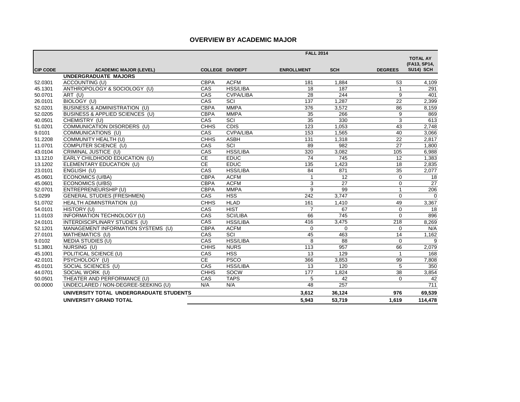## **OVERVIEW BY ACADEMIC MAJOR**

|                 |                                          |                         | <b>FALL 2014</b> |                   |                 |                |                  |  |
|-----------------|------------------------------------------|-------------------------|------------------|-------------------|-----------------|----------------|------------------|--|
|                 |                                          |                         |                  |                   |                 |                | <b>TOTAL AY</b>  |  |
|                 |                                          |                         |                  |                   |                 |                | (FA13, SP14,     |  |
| <b>CIP CODE</b> | <b>ACADEMIC MAJOR (LEVEL)</b>            | <b>COLLEGE DIV/DEPT</b> |                  | <b>ENROLLMENT</b> | <b>SCH</b>      | <b>DEGREES</b> | <b>SU14) SCH</b> |  |
|                 | <b>UNDERGRADUATE MAJORS</b>              |                         |                  |                   |                 |                |                  |  |
| 52.0301         | ACCOUNTING (U)                           | <b>CBPA</b>             | <b>ACFM</b>      | 181               | 1,884           | 53             | 4,109            |  |
| 45.1301         | ANTHROPOLOGY & SOCIOLOGY (U)             | CAS                     | <b>HSS/LIBA</b>  | 18                | 187             | $\overline{1}$ | 291              |  |
| 50.0701         | ART (U)                                  | CAS                     | <b>CVPA/LIBA</b> | 28                | 244             | 9              | 401              |  |
| 26.0101         | BIOLOGY (U)                              | CAS                     | SCI              | 137               | 1,287           | 22             | 2,399            |  |
| 52.0201         | <b>BUSINESS &amp; ADMINISTRATION (U)</b> | <b>CBPA</b>             | <b>MMPA</b>      | 376               | 3,572           | 86             | 8,159            |  |
| 52.0205         | BUSINESS & APPLIED SCIENCES (U)          | <b>CBPA</b>             | <b>MMPA</b>      | 35                | 266             | 9              | 869              |  |
| 40.0501         | CHEMISTRY (U)                            | CAS                     | SCI              | 35                | 330             | 3              | 613              |  |
| 51.0201         | COMMUNICATION DISORDERS (U)              | <b>CHHS</b>             | <b>CDIS</b>      | 123               | 1,053           | 43             | 2,748            |  |
| 9.0101          | COMMUNICATIONS (U)                       | CAS                     | <b>CVPA/LIBA</b> | 153               | 1,565           | 40             | 3,066            |  |
| 51.2208         | COMMUNITY HEALTH (U)                     | <b>CHHS</b>             | <b>ASBH</b>      | 131               | 1,318           | 22             | 2,817            |  |
| 11.0701         | COMPUTER SCIENCE (U)                     | CAS                     | SCI              | 89                | 982             | 27             | 1,800            |  |
| 43.0104         | CRIMINAL JUSTICE (U)                     | CAS                     | <b>HSS/LIBA</b>  | 320               | 3,082           | 105            | 6,988            |  |
| 13.1210         | EARLY CHILDHOOD EDUCATION (U)            | <b>CE</b>               | <b>EDUC</b>      | 74                | 745             | 12             | 1,383            |  |
| 13.1202         | ELEMENTARY EDUCATION (U)                 | CE                      | <b>EDUC</b>      | 135               | 1,423           | 18             | 2,835            |  |
| 23.0101         | ENGLISH (U)                              | CAS                     | <b>HSS/LIBA</b>  | 84                | 871             | 35             | 2,077            |  |
| 45.0601         | <b>ECONOMICS (U/BA)</b>                  | <b>CBPA</b>             | <b>ACFM</b>      | $\mathbf{1}$      | 12              | $\mathbf 0$    | 18               |  |
| 45.0601         | <b>ECONOMICS (U/BS)</b>                  | <b>CBPA</b>             | <b>ACFM</b>      | 3                 | 27              | $\mathbf 0$    | 27               |  |
| 52.0701         | ENTREPRENEURSHIP (U)                     | <b>CBPA</b>             | <b>MMPA</b>      | 9                 | 99              | $\overline{1}$ | 206              |  |
| 5.0299          | <b>GENERAL STUDIES (FRESHMEN)</b>        | CAS                     | <b>HSS</b>       | 242               | 3.747           | $\Omega$       | $\Omega$         |  |
| 51.0702         | HEALTH ADMINSTRATION (U)                 | <b>CHHS</b>             | <b>HLAD</b>      | 161               | 1,410           | 49             | 3,367            |  |
| 54.0101         | HISTORY (U)                              | CAS                     | <b>HIST</b>      | $\overline{7}$    | 67              | $\mathbf 0$    | 18               |  |
| 11.0103         | INFORMATION TECHNOLOGY (U)               | CAS                     | SCI/LIBA         | 66                | 745             | $\Omega$       | 896              |  |
| 24.0101         | INTERDISCIPLINARY STUDIES (U)            | CAS                     | <b>HSS/LIBA</b>  | 416               | 3,475           | 218            | 8,269            |  |
| 52.1201         | MANAGEMENT INFORMATION SYSTEMS (U)       | <b>CBPA</b>             | <b>ACFM</b>      | $\Omega$          | $\Omega$        | $\Omega$       | N/A              |  |
| 27.0101         | MATHEMATICS (U)                          | CAS                     | SCI              | 45                | 463             | 14             | 1,162            |  |
| 9.0102          | <b>MEDIA STUDIES (U)</b>                 | CAS                     | <b>HSS/LIBA</b>  | 8                 | $\overline{88}$ | $\Omega$       | 9                |  |
| 51.3801         | NURSING (U)                              | <b>CHHS</b>             | <b>NURS</b>      | 113               | 957             | 66             | 2,079            |  |
| 45.1001         | POLITICAL SCIENCE (U)                    | CAS                     | <b>HSS</b>       | 13                | 129             | $\overline{1}$ | 168              |  |
| 42.0101         | PSYCHOLOGY (U)                           | CE                      | <b>PSCO</b>      | 366               | 3,853           | 99             | 7,808            |  |
| 45.0101         | SOCIAL SCIENCES (U)                      | CAS                     | <b>HSS/LIBA</b>  | 13                | 120             | 5              | 350              |  |
| 44.0701         | SOCIAL WORK (U)                          | <b>CHHS</b>             | SOCW             | 177               | 1.824           | 38             | 3,854            |  |
| 50.0501         | THEATER AND PERFORMANCE (U)              | CAS                     | <b>TAPS</b>      | 5                 | 42              | $\Omega$       | 42               |  |
| 00.0000         | UNDECLARED / NON-DEGREE-SEEKING (U)      | N/A                     | N/A              | 48                | 257             |                | 711              |  |
|                 | UNIVERSITY TOTAL UNDERGRADUATE STUDENTS  |                         |                  | 3,612             | 36,124          | 976            | 69,539           |  |
|                 | <b>UNIVERSITY GRAND TOTAL</b>            |                         |                  | 5,943             | 53,719          | 1.619          | 114,478          |  |